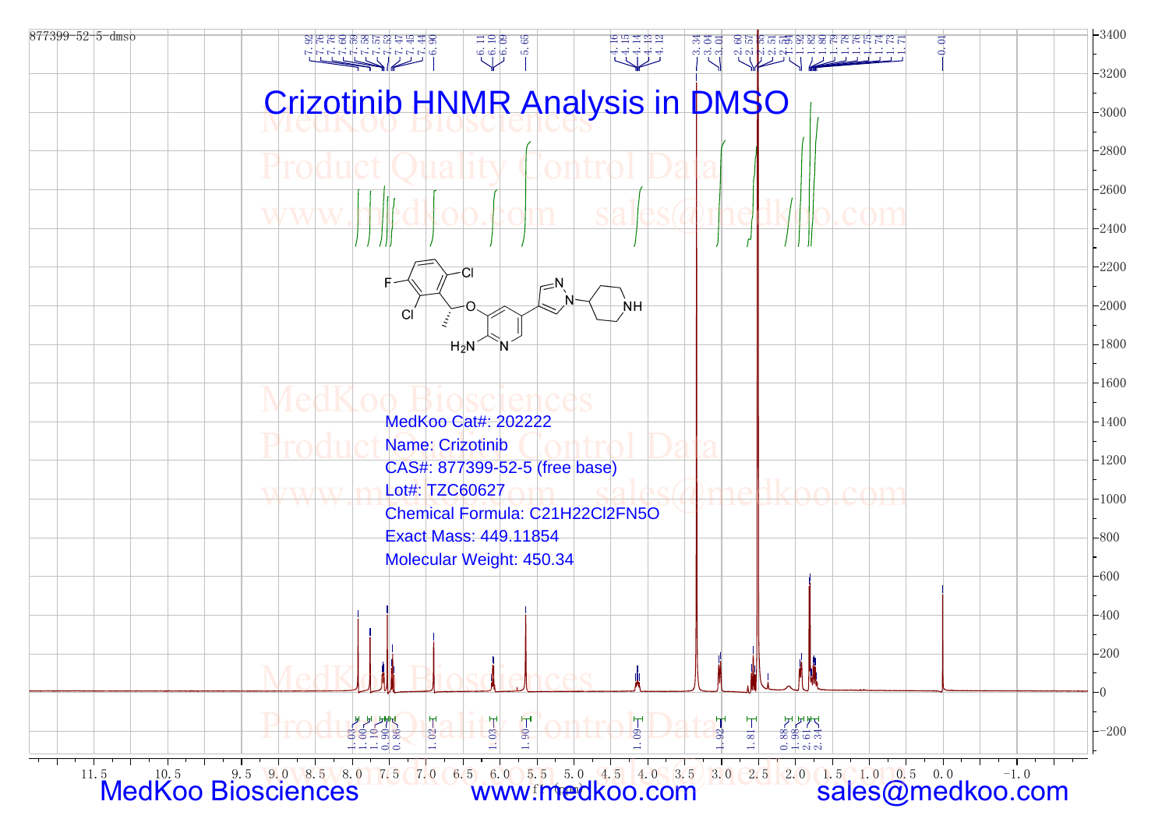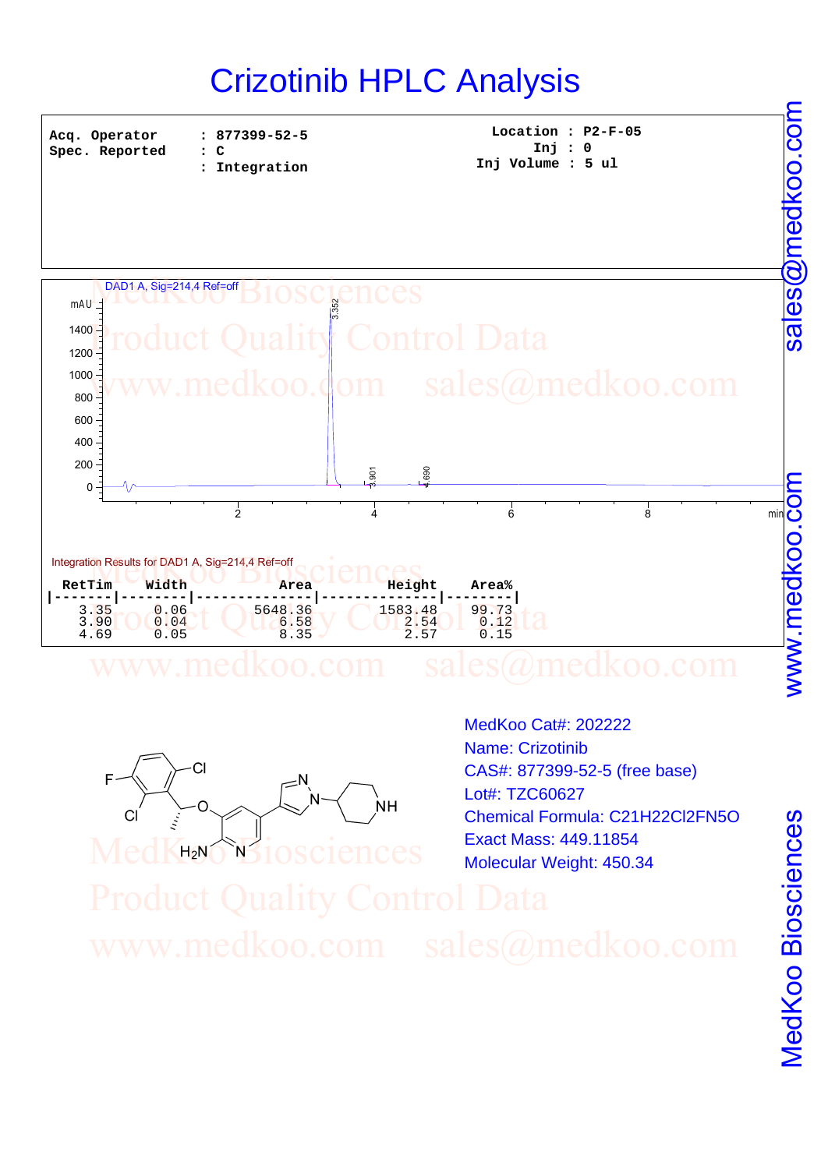## Crizotinib HPLC Analysis

**Acq. Operator Spec. Reported**  **: 877399-52-5 : C**

**Location : P2-F-05 Inj : 0 : Integration Inj Volume : 5 ul**





MedKuo Biosciences

MedKoo Cat#: 202222 Name: Crizotinib CAS#: 877399-52-5 (free base) Lot#: TZC60627 Chemical Formula: C21H22Cl2FN5O Exact Mass: 449.11854 Molecular Weight: 450.34